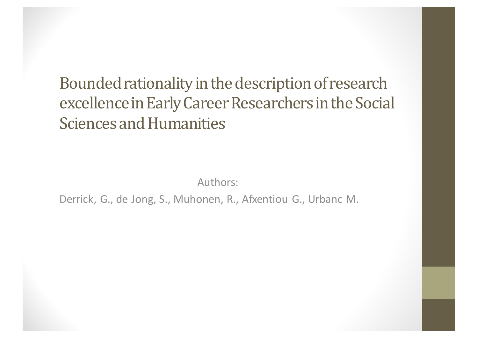Bounded rationality in the description of research excellence in Early Career Researchers in the Social **Sciences and Humanities** 

Authors:

Derrick, G., de Jong, S., Muhonen, R., Afxentiou G., Urbanc M.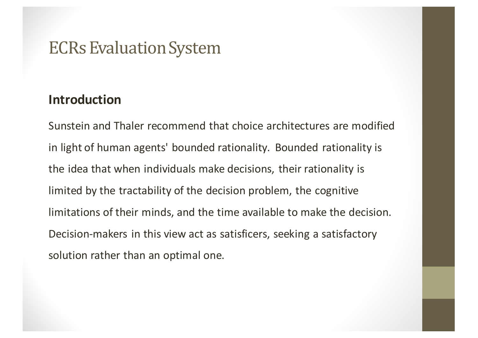#### **Introduction**

Sunstein and Thaler recommend that choice architectures are modified in light of human agents' bounded rationality. Bounded rationality is the idea that when individuals make decisions, their rationality is limited by the tractability of the decision problem, the cognitive limitations of their minds, and the time available to make the decision. Decision-makers in this view act as satisficers, seeking a satisfactory solution rather than an optimal one.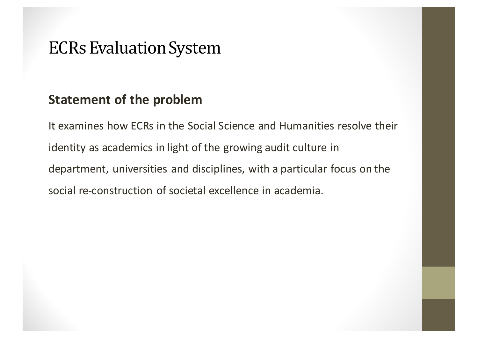### **Statement of the problem**

It examines how ECRs in the Social Science and Humanities resolve their identity as academics in light of the growing audit culture in department, universities and disciplines, with a particular focus on the social re-construction of societal excellence in academia.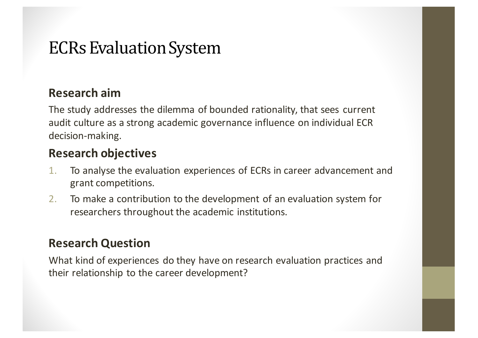#### **Research aim**

The study addresses the dilemma of bounded rationality, that sees current audit culture as a strong academic governance influence on individual ECR decision-making.

#### **Research objectives**

- 1. To analyse the evaluation experiences of ECRs in career advancement and grant competitions.
- 2. To make a contribution to the development of an evaluation system for researchers throughout the academic institutions.

#### **Research Question**

What kind of experiences do they have on research evaluation practices and their relationship to the career development?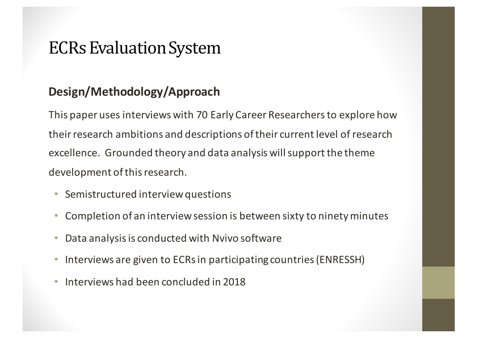### **Design/Methodology/Approach**

This paper uses interviews with 70 Early Career Researchers to explore how their research ambitions and descriptions of their current level of research excellence. Grounded theory and data analysis will support the theme development of this research.

- Semistructured interview questions
- Completion of an interview session is between sixty to ninety minutes
- Data analysis is conducted with Nvivo software
- Interviews are given to ECRs in participating countries (ENRESSH)
- Interviews had been concluded in 2018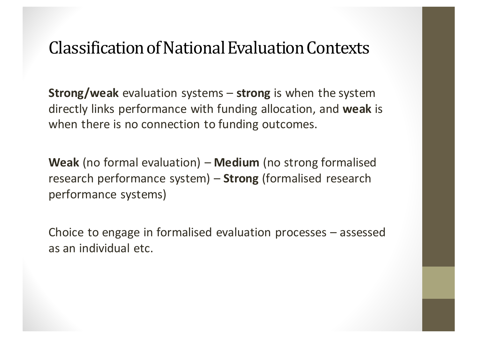## Classification of National Evaluation Contexts

**Strong/weak** evaluation systems – **strong** is when the system directly links performance with funding allocation, and weak is when there is no connection to funding outcomes.

**Weak** (no formal evaluation) – **Medium** (no strong formalised research performance system) - **Strong** (formalised research performance systems)

Choice to engage in formalised evaluation processes  $-$  assessed as an individual etc.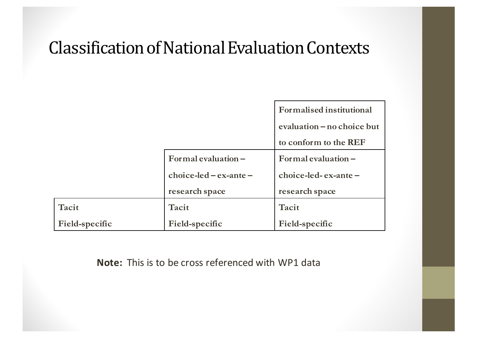# Classification of National Evaluation Contexts

|                |                           | Formalised institutional    |
|----------------|---------------------------|-----------------------------|
|                |                           | evaluation – no choice but  |
|                |                           | to conform to the REF       |
|                | Formal evaluation $-$     | $Formal evaluation -$       |
|                | $choice$ -led – ex-ante – | $choice$ -led- $ex$ -ante – |
|                | research space            | research space              |
| Tacit          | Tacit                     | Tacit                       |
| Field-specific | Field-specific            | Field-specific              |

**Note:** This is to be cross referenced with WP1 data